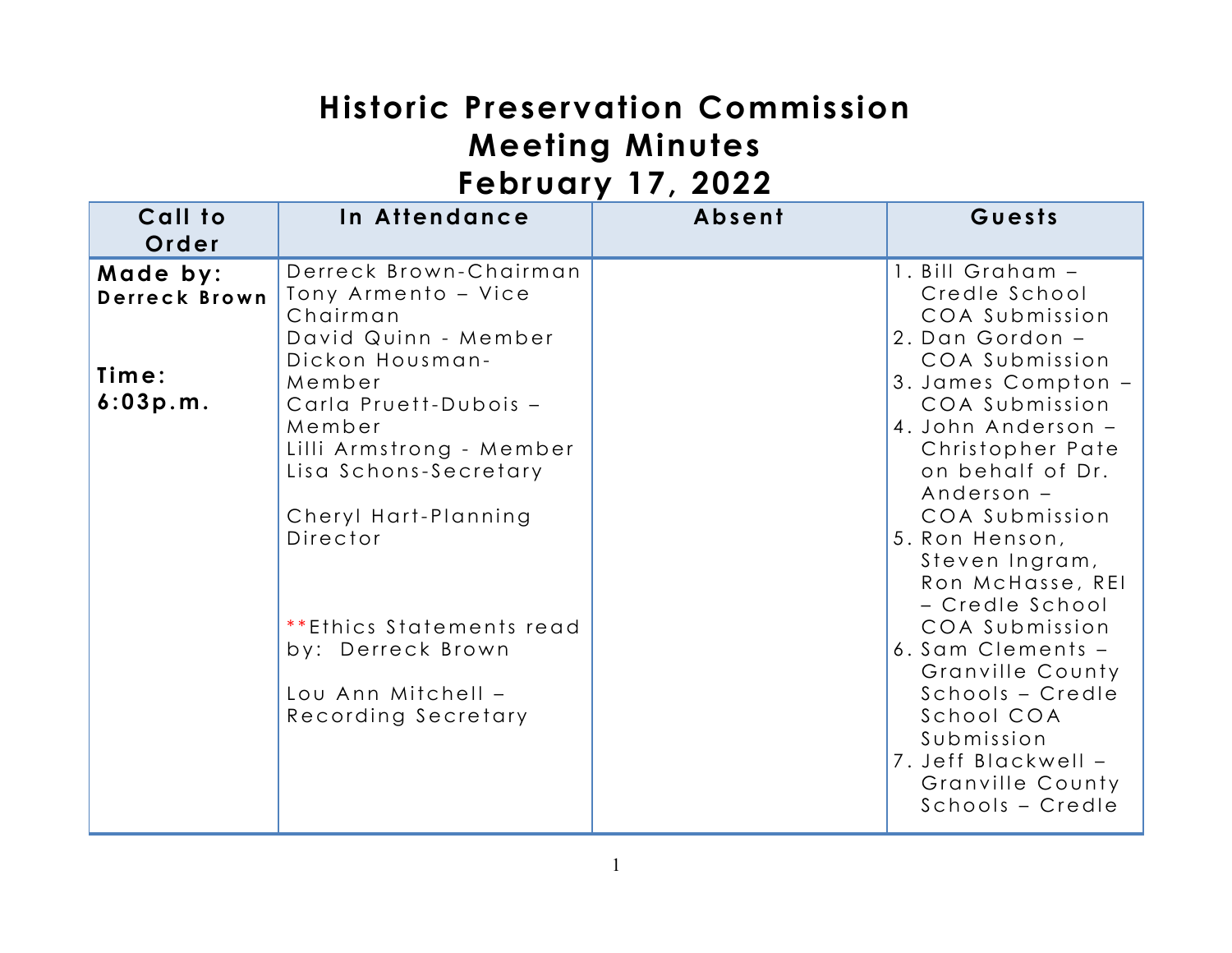# **Historic Preservation Commission Meeting Minutes February 17, 2022**

| .                                              |                                                                                                                                                                                                                                                                                                                                          |        |                                                                                                                                                                                                                                                                                                                                                                                                                                                                                     |  |  |  |
|------------------------------------------------|------------------------------------------------------------------------------------------------------------------------------------------------------------------------------------------------------------------------------------------------------------------------------------------------------------------------------------------|--------|-------------------------------------------------------------------------------------------------------------------------------------------------------------------------------------------------------------------------------------------------------------------------------------------------------------------------------------------------------------------------------------------------------------------------------------------------------------------------------------|--|--|--|
| Call to<br>Order                               | In Attendance                                                                                                                                                                                                                                                                                                                            | Absent | Guests                                                                                                                                                                                                                                                                                                                                                                                                                                                                              |  |  |  |
| Made by:<br>Derreck Brown<br>Time:<br>6:03p.m. | Derreck Brown-Chairman<br>Tony Armento - Vice<br>Chairman<br>David Quinn - Member<br>Dickon Housman-<br>Member<br>Carla Pruett-Dubois -<br>Member<br>Lilli Armstrong - Member<br>Lisa Schons-Secretary<br>Cheryl Hart-Planning<br>Director<br>**Ethics Statements read<br>by: Derreck Brown<br>Lou Ann Mitchell -<br>Recording Secretary |        | 1. Bill Graham -<br>Credle School<br>COA Submission<br>2. Dan Gordon -<br>COA Submission<br>3. James Compton -<br>COA Submission<br>4. John Anderson -<br>Christopher Pate<br>on behalf of Dr.<br>Anderson -<br>COA Submission<br>5. Ron Henson,<br>Steven Ingram,<br>Ron McHasse, REI<br>- Credle School<br>COA Submission<br>6. Sam Clements -<br>Granville County<br>Schools - Credle<br>School COA<br>Submission<br>7. Jeff Blackwell -<br>Granville County<br>Schools - Credle |  |  |  |
|                                                |                                                                                                                                                                                                                                                                                                                                          |        |                                                                                                                                                                                                                                                                                                                                                                                                                                                                                     |  |  |  |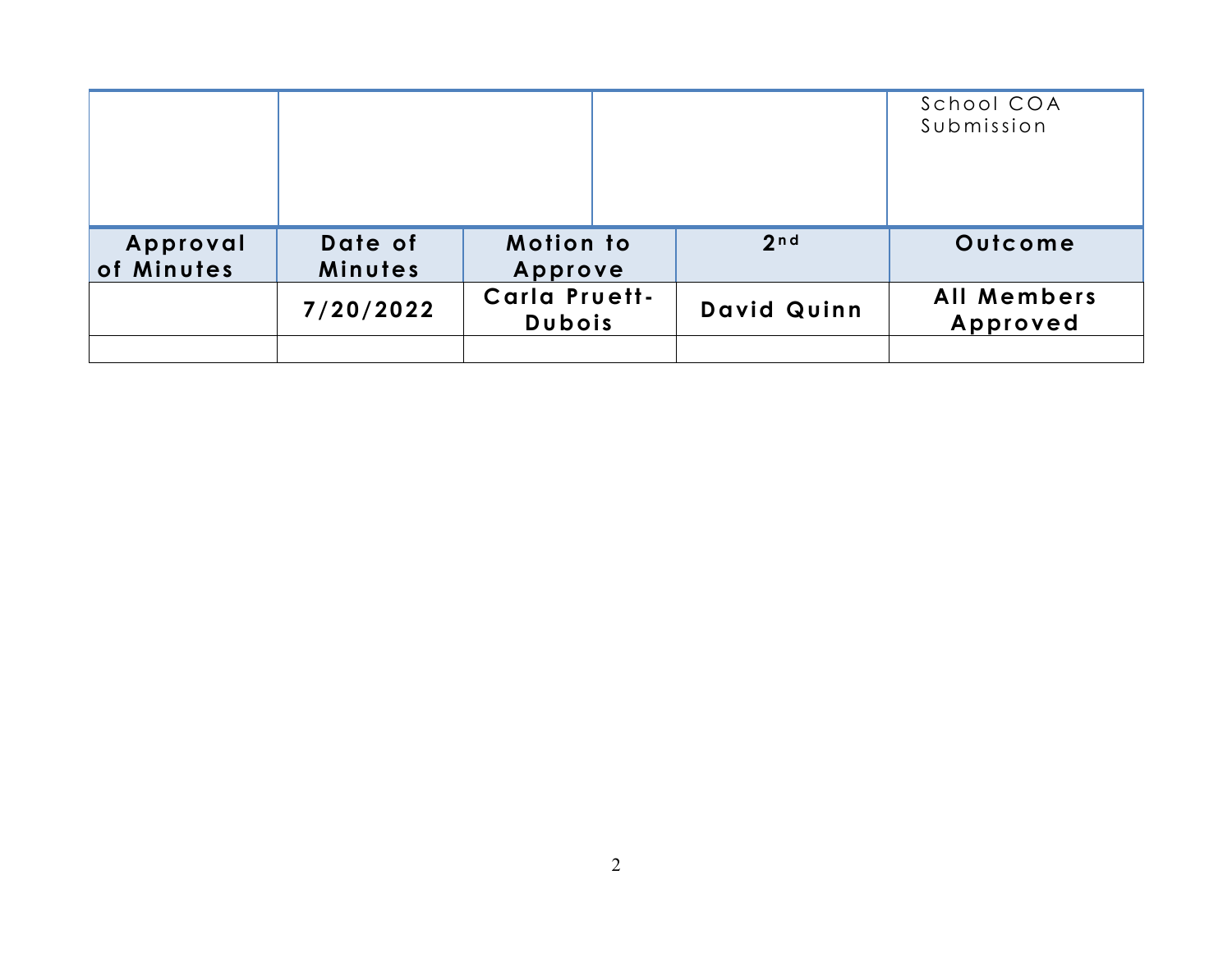|            |           |                                       |                  | School COA<br>Submission       |
|------------|-----------|---------------------------------------|------------------|--------------------------------|
| Approval   | Date of   | <b>Motion to</b>                      | 2 <sub>n d</sub> | Outcome                        |
| of Minutes | Minutes   | Approve                               |                  |                                |
|            | 7/20/2022 | <b>Carla Pruett-</b><br><b>Dubois</b> | David Quinn      | <b>All Members</b><br>Approved |
|            |           |                                       |                  |                                |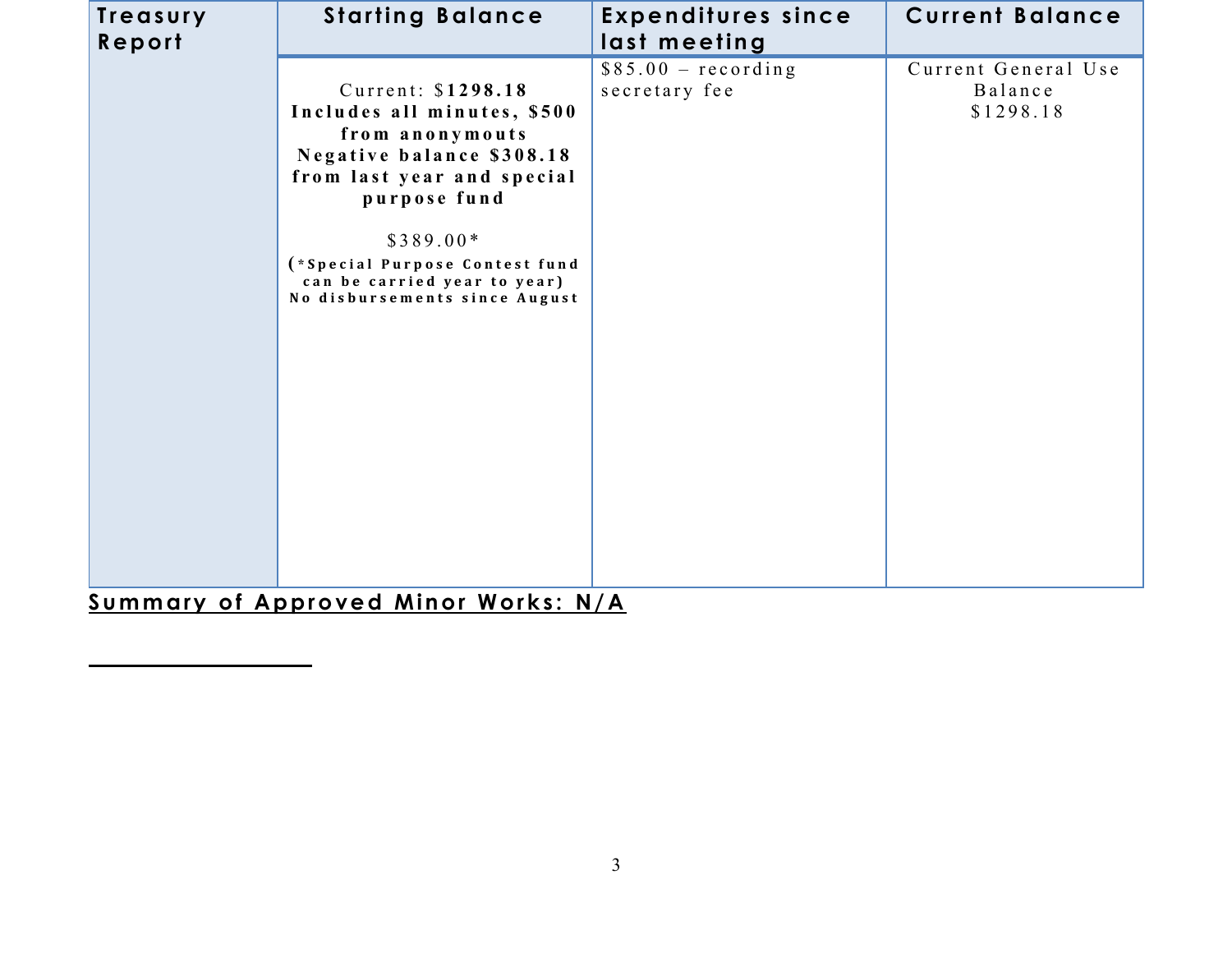| Treasury<br>Report | <b>Starting Balance</b>                                                                                                                                                                                                                                          | <b>Expenditures since</b><br>last meeting | <b>Current Balance</b>                      |
|--------------------|------------------------------------------------------------------------------------------------------------------------------------------------------------------------------------------------------------------------------------------------------------------|-------------------------------------------|---------------------------------------------|
|                    | Current: \$1298.18<br>Includes all minutes, \$500<br>from anonymouts<br>Negative balance \$308.18<br>from last year and special<br>purpose fund<br>$$389.00*$<br>(*Special Purpose Contest fund<br>can be carried year to year)<br>No disbursements since August | $$85.00 - recording$<br>secretary fee     | Current General Use<br>Balance<br>\$1298.18 |

**Summary of Approved Minor Works: N/A**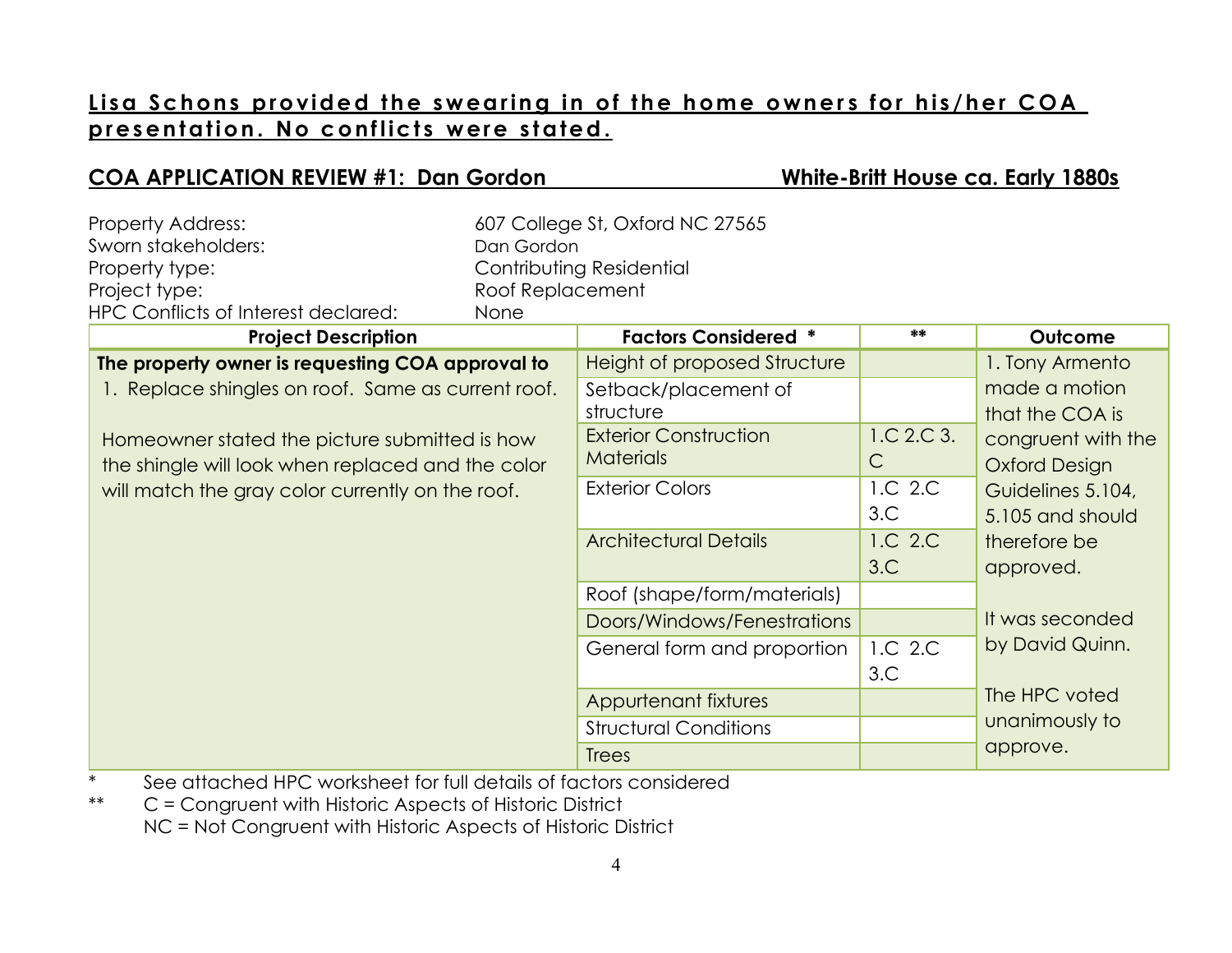# Lisa Schons provided the swearing in of the home owners for his/her COA presentation. No conflicts were stated.

**COA APPLICATION REVIEW #1: Dan Gordon White-Britt House ca. Early 1880s**

| <b>Property Address:</b><br>Sworn stakeholders:<br>Property type:<br>Project type:<br>HPC Conflicts of Interest declared:                                                                                                                                        | Dan Gordon<br>Roof Replacement<br>None | 607 College St, Oxford NC 27565<br>Contributing Residential                                                                                                                     |                                                                |                                                                                                                                                                         |
|------------------------------------------------------------------------------------------------------------------------------------------------------------------------------------------------------------------------------------------------------------------|----------------------------------------|---------------------------------------------------------------------------------------------------------------------------------------------------------------------------------|----------------------------------------------------------------|-------------------------------------------------------------------------------------------------------------------------------------------------------------------------|
| <b>Project Description</b>                                                                                                                                                                                                                                       |                                        | <b>Factors Considered *</b>                                                                                                                                                     | **                                                             | Outcome                                                                                                                                                                 |
| The property owner is requesting COA approval to<br>1. Replace shingles on roof. Same as current roof.<br>Homeowner stated the picture submitted is how<br>the shingle will look when replaced and the color<br>will match the gray color currently on the roof. |                                        | Height of proposed Structure<br>Setback/placement of<br>structure<br><b>Exterior Construction</b><br><b>Materials</b><br><b>Exterior Colors</b><br><b>Architectural Details</b> | 1.C 2.C 3.<br>$\mathsf{C}$<br>1.C 2.C<br>3.C<br>1.C 2.C<br>3.C | 1. Tony Armento<br>made a motion<br>that the COA is<br>congruent with the<br><b>Oxford Design</b><br>Guidelines 5.104,<br>5.105 and should<br>therefore be<br>approved. |
|                                                                                                                                                                                                                                                                  |                                        | Roof (shape/form/materials)<br>Doors/Windows/Fenestrations<br>General form and proportion<br>Appurtenant fixtures<br><b>Structural Conditions</b><br><b>Trees</b>               | 1.C 2.C<br>3.C                                                 | It was seconded<br>by David Quinn.<br>The HPC voted<br>unanimously to<br>approve.                                                                                       |

\* See attached HPC worksheet for full details of factors considered

\*\* C = Congruent with Historic Aspects of Historic District NC = Not Congruent with Historic Aspects of Historic District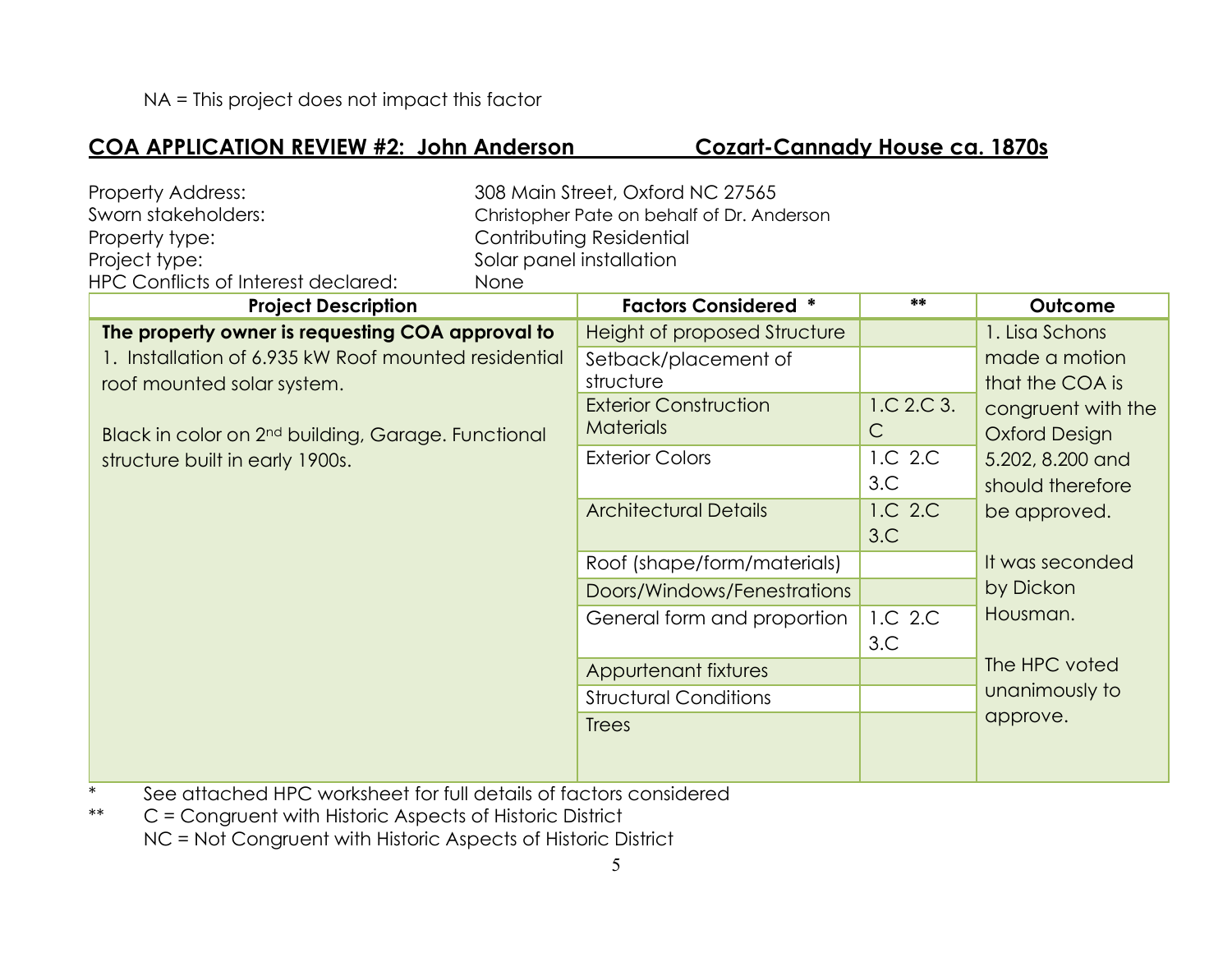#### **COA APPLICATION REVIEW #2: John Anderson Cozart-Cannady House ca. 1870s**

| <b>Property Address:</b>                                       |      | 308 Main Street, Oxford NC 27565           |              |                      |
|----------------------------------------------------------------|------|--------------------------------------------|--------------|----------------------|
| Sworn stakeholders:                                            |      | Christopher Pate on behalf of Dr. Anderson |              |                      |
| Property type:                                                 |      | Contributing Residential                   |              |                      |
| Project type:                                                  |      | Solar panel installation                   |              |                      |
| HPC Conflicts of Interest declared:                            | None |                                            |              |                      |
| <b>Project Description</b>                                     |      | <b>Factors Considered *</b>                | **           | Outcome              |
| The property owner is requesting COA approval to               |      | Height of proposed Structure               |              | 1. Lisa Schons       |
| 1. Installation of 6.935 kW Roof mounted residential           |      | Setback/placement of                       |              | made a motion        |
| roof mounted solar system.                                     |      | structure                                  |              | that the COA is      |
|                                                                |      | <b>Exterior Construction</b>               | 1.C.2.C.3.   | congruent with the   |
| Black in color on 2 <sup>nd</sup> building, Garage. Functional |      | <b>Materials</b>                           | $\mathsf{C}$ | <b>Oxford Design</b> |
| structure built in early 1900s.                                |      | <b>Exterior Colors</b>                     | 1.C 2.C      | 5.202, 8.200 and     |
|                                                                |      |                                            | 3.C          | should therefore     |
|                                                                |      | <b>Architectural Details</b>               | 1.C 2.C      | be approved.         |
|                                                                |      |                                            | 3.C          |                      |
|                                                                |      | Roof (shape/form/materials)                |              | It was seconded      |
|                                                                |      | Doors/Windows/Fenestrations                |              | by Dickon            |
|                                                                |      | General form and proportion                | 1.C 2.C      | Housman.             |
|                                                                |      |                                            | 3.C          |                      |
|                                                                |      | Appurtenant fixtures                       |              | The HPC voted        |
|                                                                |      | <b>Structural Conditions</b>               |              | unanimously to       |
|                                                                |      | <b>Trees</b>                               |              | approve.             |
|                                                                |      |                                            |              |                      |
|                                                                |      |                                            |              |                      |

\* See attached HPC worksheet for full details of factors considered

\*\* C = Congruent with Historic Aspects of Historic District NC = Not Congruent with Historic Aspects of Historic District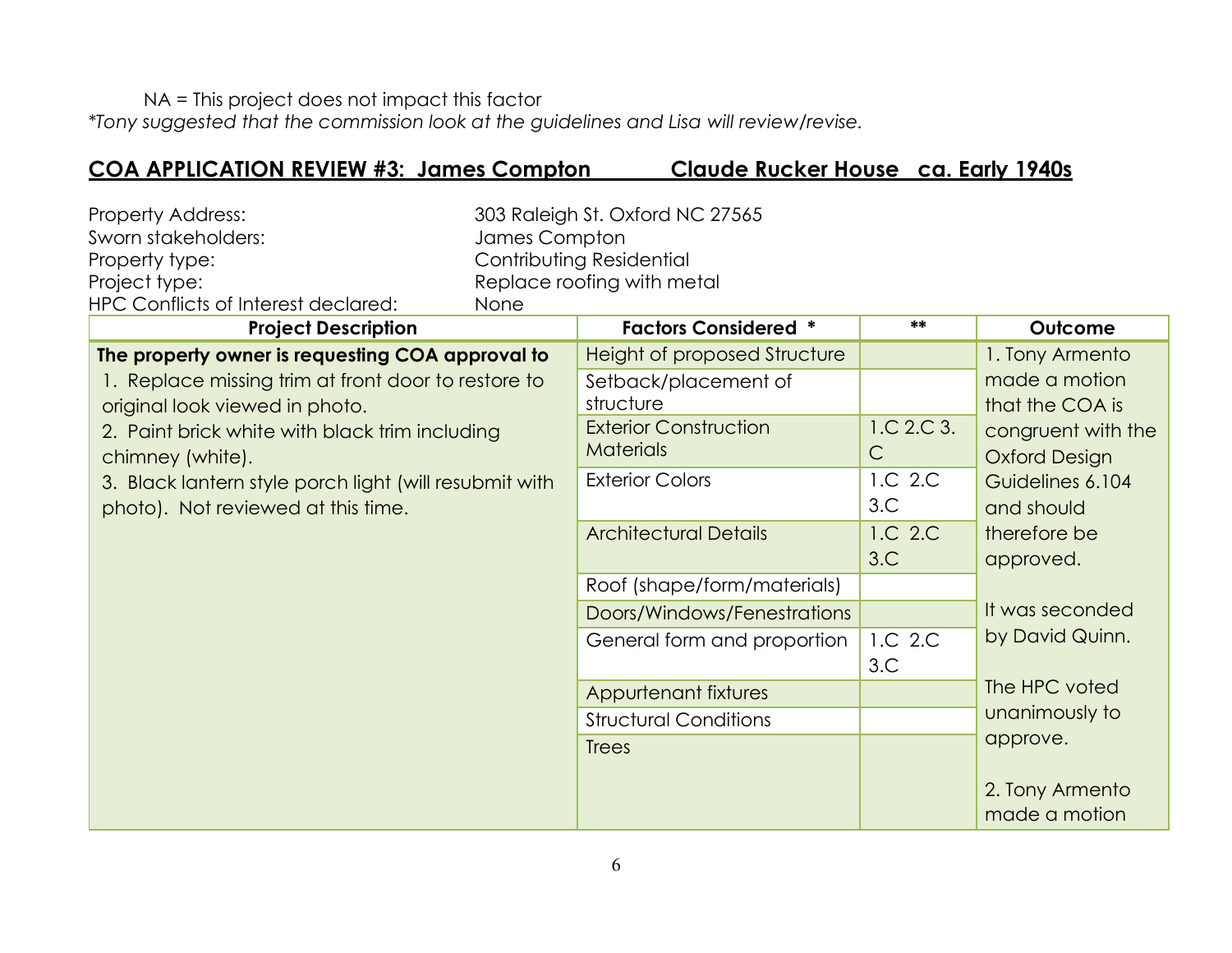NA = This project does not impact this factor

*\*Tony suggested that the commission look at the guidelines and Lisa will review/revise.*

### **COA APPLICATION REVIEW #3: James Compton Claude Rucker House ca. Early 1940s**

| <b>Property Address:</b>            | 303 Raleigh St. Oxford NC 27565 |
|-------------------------------------|---------------------------------|
| Sworn stakeholders:                 | James Compton                   |
| Property type:                      | Contributing Residential        |
| Project type:                       | Replace roofing with metal      |
| HPC Conflicts of Interest declared: | None                            |

| <b>Project Description</b>                             | <b>Factors Considered *</b>  | **           | Outcome              |
|--------------------------------------------------------|------------------------------|--------------|----------------------|
| The property owner is requesting COA approval to       | Height of proposed Structure |              | 1. Tony Armento      |
| 1. Replace missing trim at front door to restore to    | Setback/placement of         |              | made a motion        |
| original look viewed in photo.                         | structure                    |              | that the COA is      |
| 2. Paint brick white with black trim including         | <b>Exterior Construction</b> | 1.C 2.C 3.   | congruent with the   |
| chimney (white).                                       | <b>Materials</b>             | $\mathsf{C}$ | <b>Oxford Design</b> |
| 3. Black lantern style porch light (will resubmit with | <b>Exterior Colors</b>       | 1.C 2.C      | Guidelines 6.104     |
| photo). Not reviewed at this time.                     |                              | 3.C          | and should           |
|                                                        | <b>Architectural Details</b> | 1.C 2.C      | therefore be         |
|                                                        |                              | 3.C          | approved.            |
|                                                        | Roof (shape/form/materials)  |              |                      |
|                                                        | Doors/Windows/Fenestrations  |              | It was seconded      |
|                                                        | General form and proportion  | 1.C 2.C      | by David Quinn.      |
|                                                        |                              | 3.C          |                      |
|                                                        | Appurtenant fixtures         |              | The HPC voted        |
|                                                        | <b>Structural Conditions</b> |              | unanimously to       |
|                                                        | <b>Trees</b>                 |              | approve.             |
|                                                        |                              |              |                      |
|                                                        |                              |              | 2. Tony Armento      |
|                                                        |                              |              | made a motion        |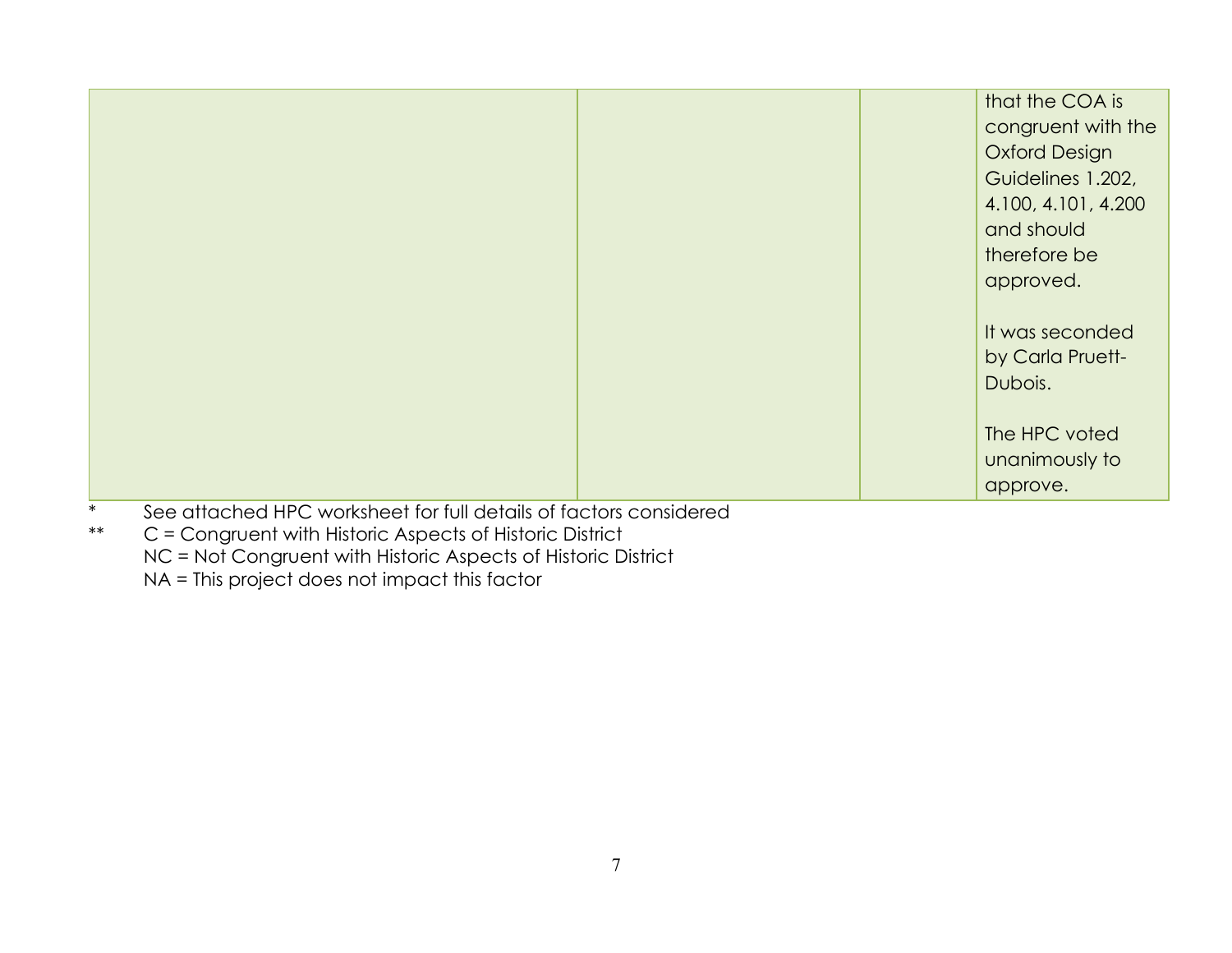| that the COA is      |
|----------------------|
| congruent with the   |
| <b>Oxford Design</b> |
| Guidelines 1.202,    |
| 4.100, 4.101, 4.200  |
| and should           |
| therefore be         |
| approved.            |
|                      |
| It was seconded      |
| by Carla Pruett-     |
| Dubois.              |
|                      |
| The HPC voted        |
| unanimously to       |
| approve.             |

- \* See attached HPC worksheet for full details of factors considered<br>\*\*  $C =$  Congruent with Historic Aspects of Historic District
- C = Congruent with Historic Aspects of Historic District NC = Not Congruent with Historic Aspects of Historic District NA = This project does not impact this factor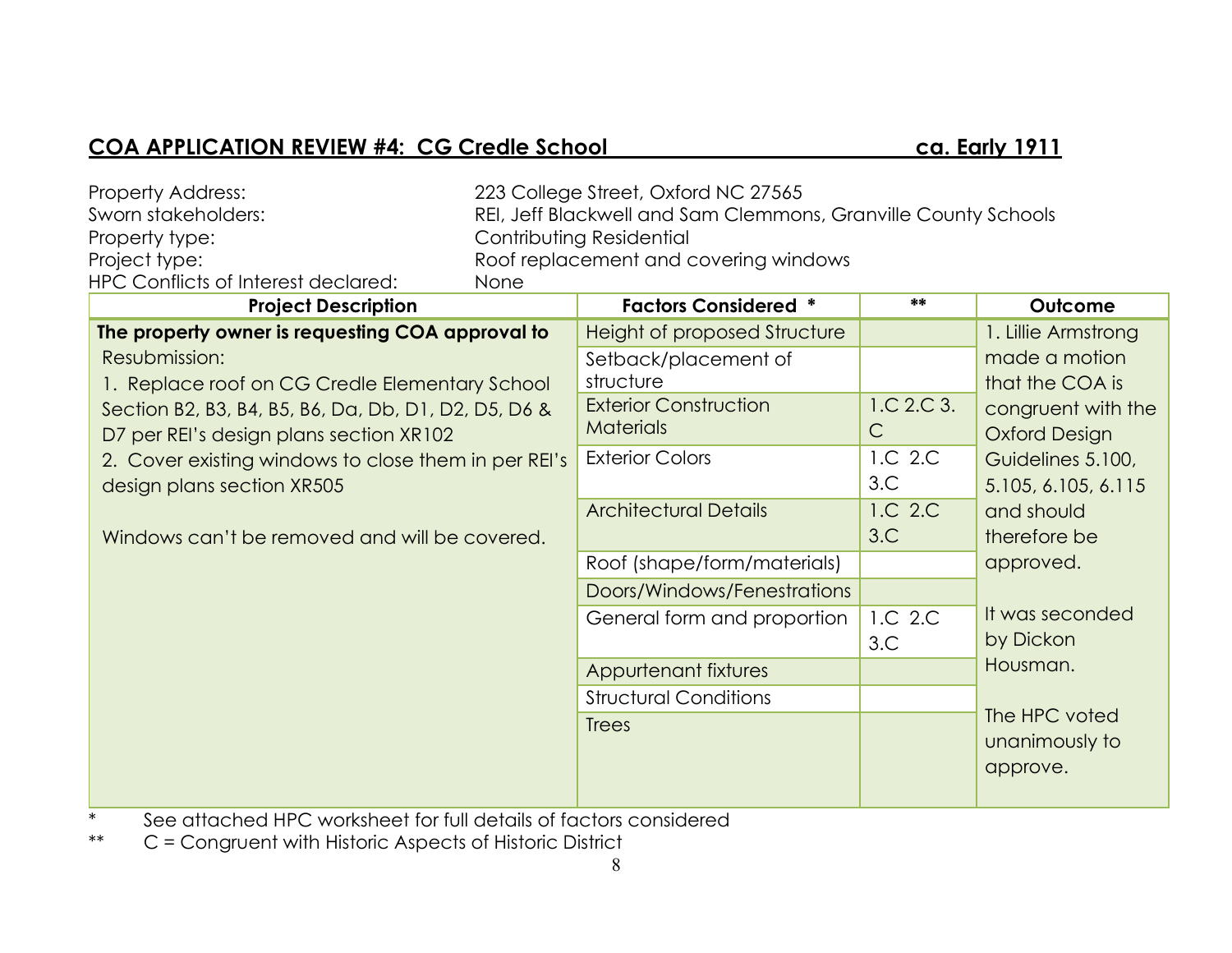# COA APPLICATION REVIEW #4: CG Credle School ca. Early 1911

| Property Address:                                    |      | 223 College Street, Oxford NC 27565                            |              |                      |
|------------------------------------------------------|------|----------------------------------------------------------------|--------------|----------------------|
| Sworn stakeholders:                                  |      | REI, Jeff Blackwell and Sam Clemmons, Granville County Schools |              |                      |
| Property type:                                       |      | Contributing Residential                                       |              |                      |
| Project type:                                        |      | Roof replacement and covering windows                          |              |                      |
| <b>HPC Conflicts of Interest declared:</b>           | None |                                                                |              |                      |
| <b>Project Description</b>                           |      | <b>Factors Considered *</b>                                    | **           | Outcome              |
| The property owner is requesting COA approval to     |      | Height of proposed Structure                                   |              | 1. Lillie Armstrong  |
| Resubmission:                                        |      | Setback/placement of                                           |              | made a motion        |
| 1. Replace roof on CG Credle Elementary School       |      | structure                                                      |              | that the COA is      |
| Section B2, B3, B4, B5, B6, Da, Db, D1, D2, D5, D6 & |      | <b>Exterior Construction</b>                                   | 1.C.2.C.3.   | congruent with the   |
| D7 per REI's design plans section XR102              |      | <b>Materials</b>                                               | $\mathsf{C}$ | <b>Oxford Design</b> |
| 2. Cover existing windows to close them in per REI's |      | <b>Exterior Colors</b>                                         | 1.C 2.C      | Guidelines 5.100,    |
| design plans section XR505                           |      |                                                                | 3.C          | 5.105, 6.105, 6.115  |
|                                                      |      | <b>Architectural Details</b>                                   | 1.C 2.C      | and should           |
| Windows can't be removed and will be covered.        |      |                                                                | 3.C          | therefore be         |
|                                                      |      | Roof (shape/form/materials)                                    |              | approved.            |
|                                                      |      | Doors/Windows/Fenestrations                                    |              |                      |
|                                                      |      | General form and proportion                                    | 1.C 2.C      | It was seconded      |
|                                                      |      |                                                                | 3.C          | by Dickon            |
|                                                      |      | Appurtenant fixtures                                           |              | Housman.             |
|                                                      |      | <b>Structural Conditions</b>                                   |              |                      |
|                                                      |      | <b>Trees</b>                                                   |              | The HPC voted        |
|                                                      |      |                                                                |              | unanimously to       |
|                                                      |      |                                                                |              | approve.             |
|                                                      |      |                                                                |              |                      |

\* See attached HPC worksheet for full details of factors considered

\*\* C = Congruent with Historic Aspects of Historic District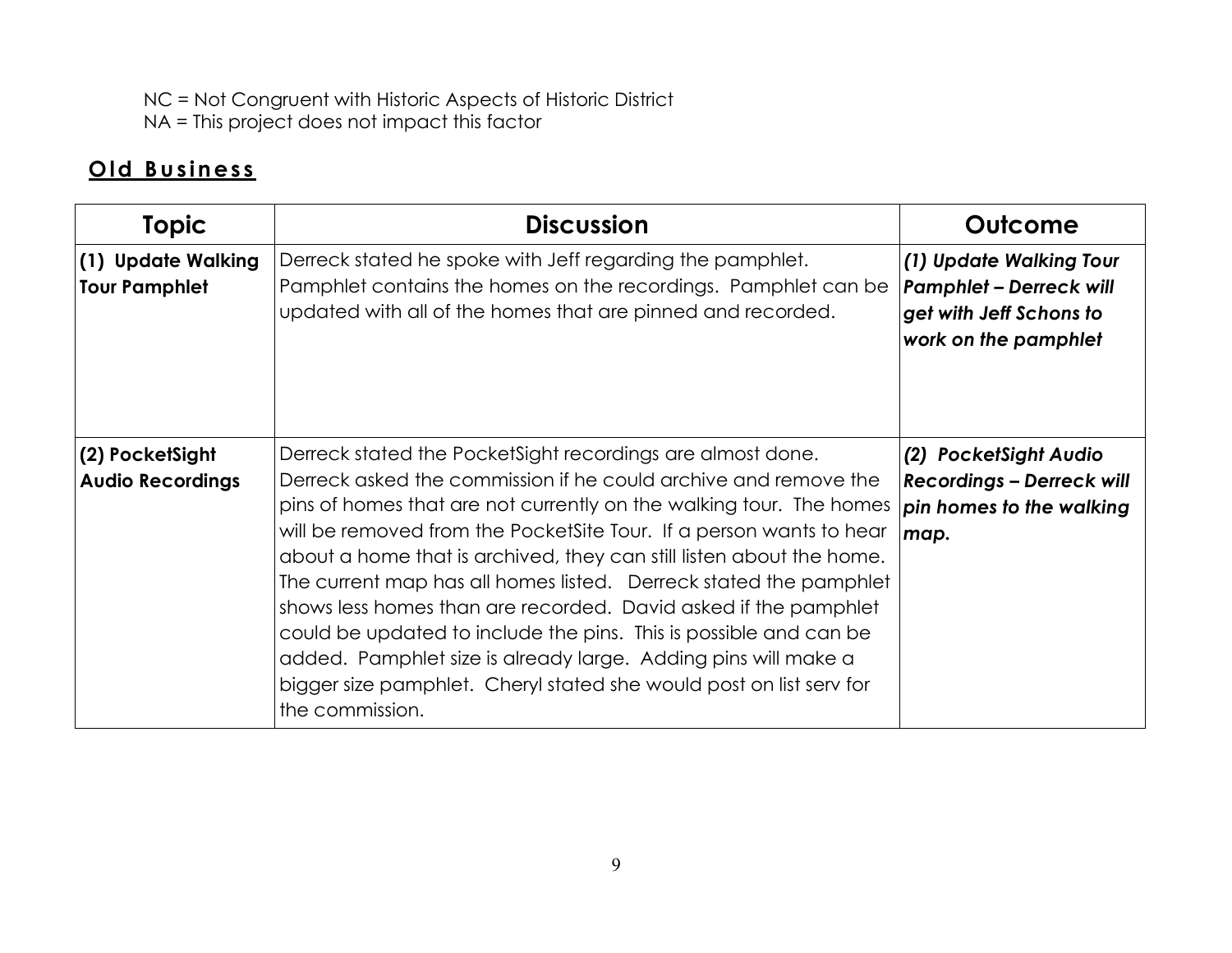NC = Not Congruent with Historic Aspects of Historic District NA = This project does not impact this factor

# **O ld B u s in es s**

| <b>Topic</b>                               | <b>Discussion</b>                                                                                                                                                                                                                                                                                                                                                                                                                                                                                                                                                                                                                                                                                                             | Outcome                                                                                                      |
|--------------------------------------------|-------------------------------------------------------------------------------------------------------------------------------------------------------------------------------------------------------------------------------------------------------------------------------------------------------------------------------------------------------------------------------------------------------------------------------------------------------------------------------------------------------------------------------------------------------------------------------------------------------------------------------------------------------------------------------------------------------------------------------|--------------------------------------------------------------------------------------------------------------|
| (1) Update Walking<br><b>Tour Pamphlet</b> | Derreck stated he spoke with Jeff regarding the pamphlet.<br>Pamphlet contains the homes on the recordings. Pamphlet can be<br>updated with all of the homes that are pinned and recorded.                                                                                                                                                                                                                                                                                                                                                                                                                                                                                                                                    | (1) Update Walking Tour<br><b>Pamphlet - Derreck will</b><br>get with Jeff Schons to<br>work on the pamphlet |
| (2) PocketSight<br><b>Audio Recordings</b> | Derreck stated the Pocket Sight recordings are almost done.<br>Derreck asked the commission if he could archive and remove the<br>pins of homes that are not currently on the walking tour. The homes<br>will be removed from the PocketSite Tour. If a person wants to hear<br>about a home that is archived, they can still listen about the home.<br>The current map has all homes listed. Derreck stated the pamphlet<br>shows less homes than are recorded. David asked if the pamphlet<br>could be updated to include the pins. This is possible and can be<br>added. Pamphlet size is already large. Adding pins will make a<br>bigger size pamphlet. Cheryl stated she would post on list serv for<br>the commission. | (2) PocketSight Audio<br><b>Recordings - Derreck will</b><br>pin homes to the walking<br>map.                |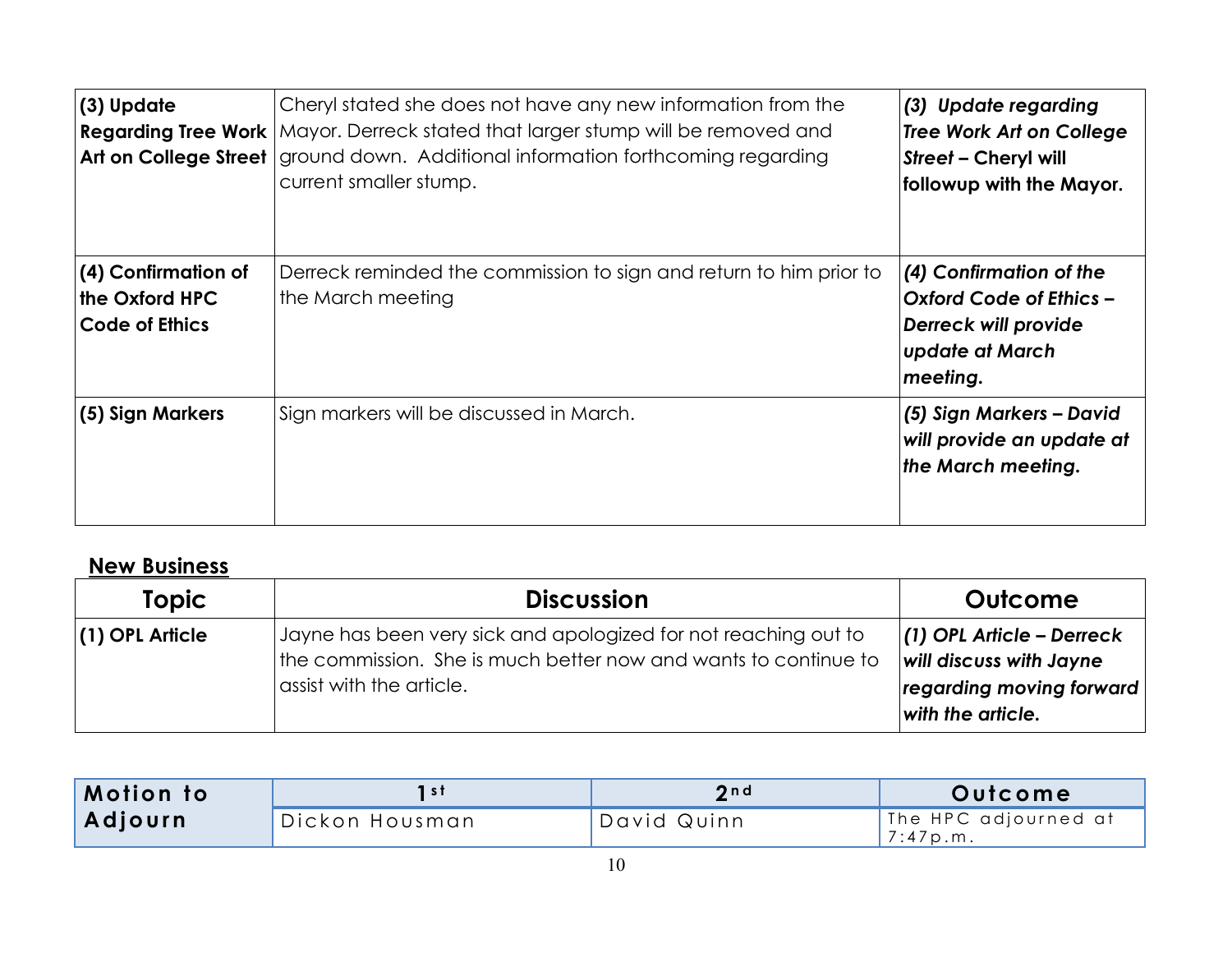| (3) Update                                                     | Cheryl stated she does not have any new information from the<br>Regarding Tree Work   Mayor. Derreck stated that larger stump will be removed and<br>Art on College Street   ground down. Additional information forthcoming regarding<br>current smaller stump. | (3) Update regarding<br><b>Tree Work Art on College</b><br><b>Street - Cheryl will</b><br>followup with the Mayor.             |
|----------------------------------------------------------------|------------------------------------------------------------------------------------------------------------------------------------------------------------------------------------------------------------------------------------------------------------------|--------------------------------------------------------------------------------------------------------------------------------|
| (4) Confirmation of<br>the Oxford HPC<br><b>Code of Ethics</b> | Derreck reminded the commission to sign and return to him prior to<br>the March meeting                                                                                                                                                                          | (4) Confirmation of the<br><b>Oxford Code of Ethics -</b><br><b>Derreck will provide</b><br><b>update at March</b><br>meeting. |
| (5) Sign Markers                                               | Sign markers will be discussed in March.                                                                                                                                                                                                                         | (5) Sign Markers - David<br>will provide an update at<br>the March meeting.                                                    |

# **New Business**

| <b>Topic</b>      | <b>Discussion</b>                                                                                                                                              | Outcome                                                                                                        |
|-------------------|----------------------------------------------------------------------------------------------------------------------------------------------------------------|----------------------------------------------------------------------------------------------------------------|
| $(1)$ OPL Article | Jayne has been very sick and apologized for not reaching out to<br>the commission. She is much better now and wants to continue to<br>assist with the article. | $(1)$ OPL Article – Derreck<br><b>will discuss with Jayne</b><br>regarding moving forward<br>with the article. |

| Motion to |                  | 2nd         | Outcome                          |
|-----------|------------------|-------------|----------------------------------|
| Adjourn   | `Dickon Housman' | David Quinn | The HPC adjourned at<br>7:47p.m. |